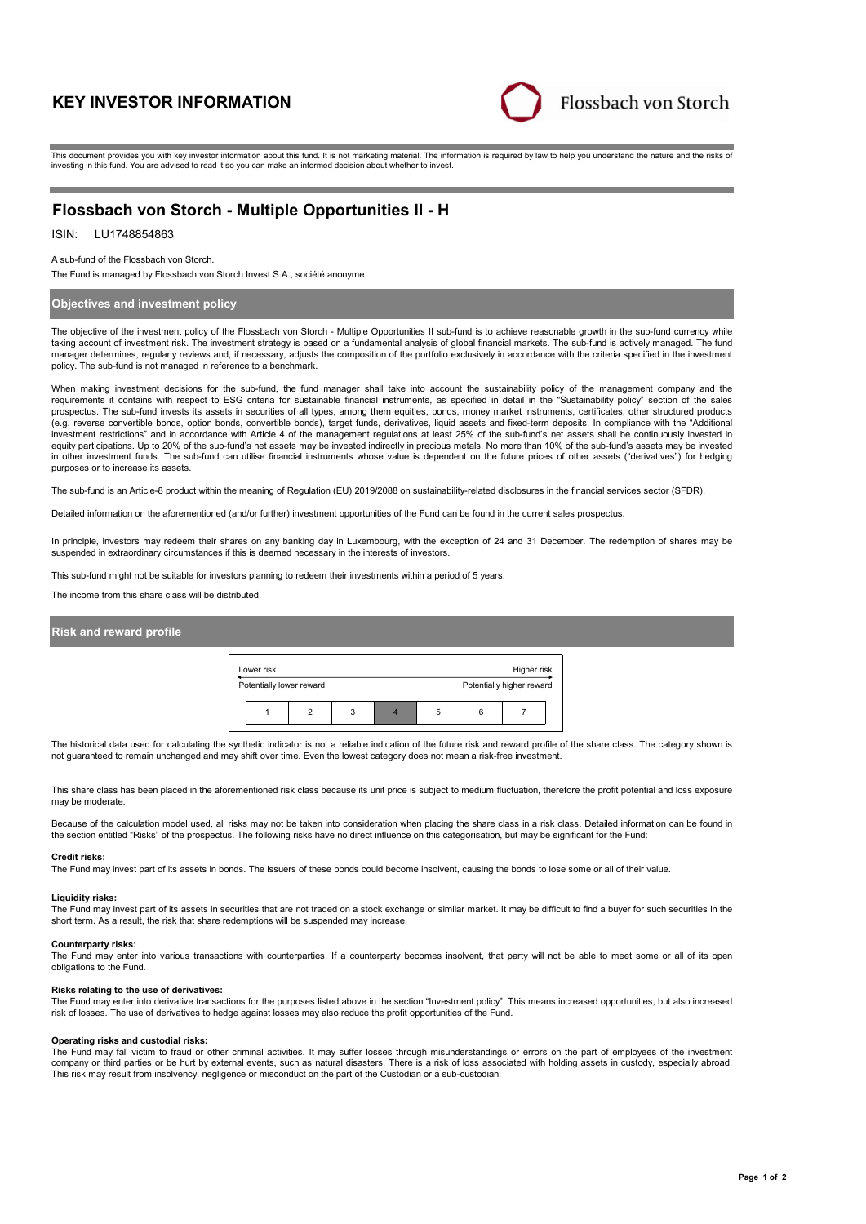# **KEY INVESTOR INFORMATION**



This document provides you with key investor information about this fund. It is not marketing material. The information is required by law to help you understand the nature and the risks of investing in this fund. You are advised to read it so you can make an informed decision about whether to invest.

# **Flossbach von Storch - Multiple Opportunities II - H**

# ISIN: LU1748854863

A sub-fund of the Flossbach von Storch.

The Fund is managed by Flossbach von Storch Invest S.A., société anonyme.

# **Objectives and investment policy**

The objective of the investment policy of the Flossbach von Storch - Multiple Opportunities II sub-fund is to achieve reasonable growth in the sub-fund currency while taking account of investment risk. The investment strategy is based on a fundamental analysis of global financial markets. The sub-fund is actively managed. The fund manager determines, regularly reviews and, if necessary, adjusts the composition of the portfolio exclusively in accordance with the criteria specified in the investment policy. The sub-fund is not managed in reference to a benchmark.

When making investment decisions for the sub-fund, the fund manager shall take into account the sustainability policy of the management company and the requirements it contains with respect to ESG criteria for sustainable financial instruments, as specified in detail in the "Sustainability policy" section of the sales prospectus. The sub-fund invests its assets in securities of all types, among them equities, bonds, money market instruments, certificates, other structured products (e.g. reverse convertible bonds, option bonds, convertible bonds), target funds, derivatives, liquid assets and fixed-term deposits. In compliance with the "Additional investment restrictions" and in accordance with Article 4 of the management regulations at least 25% of the sub-fund's net assets shall be continuously invested in equity participations. Up to 20% of the sub-fund's net assets may be invested indirectly in precious metals. No more than 10% of the sub-fund's assets may be invested in other investment funds. The sub-fund can utilise financial instruments whose value is dependent on the future prices of other assets ("derivatives") for hedging purposes or to increase its assets.

The sub-fund is an Article-8 product within the meaning of Regulation (EU) 2019/2088 on sustainability-related disclosures in the financial services sector (SFDR).

Detailed information on the aforementioned (and/or further) investment opportunities of the Fund can be found in the current sales prospectus.

In principle, investors may redeem their shares on any banking day in Luxembourg, with the exception of 24 and 31 December. The redemption of shares may be suspended in extraordinary circumstances if this is deemed necessary in the interests of investors.

This sub-fund might not be suitable for investors planning to redeem their investments within a period of 5 years.

The income from this share class will be distributed.

## **Risk and reward profile**



The historical data used for calculating the synthetic indicator is not a reliable indication of the future risk and reward profile of the share class. The category shown is not guaranteed to remain unchanged and may shift over time. Even the lowest category does not mean a risk-free investment.

This share class has been placed in the aforementioned risk class because its unit price is subject to medium fluctuation, therefore the profit potential and loss exposure may be moderate.

Because of the calculation model used, all risks may not be taken into consideration when placing the share class in a risk class. Detailed information can be found in the section entitled "Risks" of the prospectus. The following risks have no direct influence on this categorisation, but may be significant for the Fund:

#### **Credit risks:**

The Fund may invest part of its assets in bonds. The issuers of these bonds could become insolvent, causing the bonds to lose some or all of their value.

### **Liquidity risks:**

The Fund may invest part of its assets in securities that are not traded on a stock exchange or similar market. It may be difficult to find a buyer for such securities in the short term. As a result, the risk that share redemptions will be suspended may increase.

#### **Counterparty risks:**

The Fund may enter into various transactions with counterparties. If a counterparty becomes insolvent, that party will not be able to meet some or all of its open obligations to the Fund.

### **Risks relating to the use of derivatives:**

The Fund may enter into derivative transactions for the purposes listed above in the section "Investment policy". This means increased opportunities, but also increased risk of losses. The use of derivatives to hedge against losses may also reduce the profit opportunities of the Fund.

## **Operating risks and custodial risks:**

The Fund may fall victim to fraud or other criminal activities. It may suffer losses through misunderstandings or errors on the part of employees of the investment company or third parties or be hurt by external events, such as natural disasters. There is a risk of loss associated with holding assets in custody, especially abroad. This risk may result from insolvency, negligence or misconduct on the part of the Custodian or a sub-custodian.